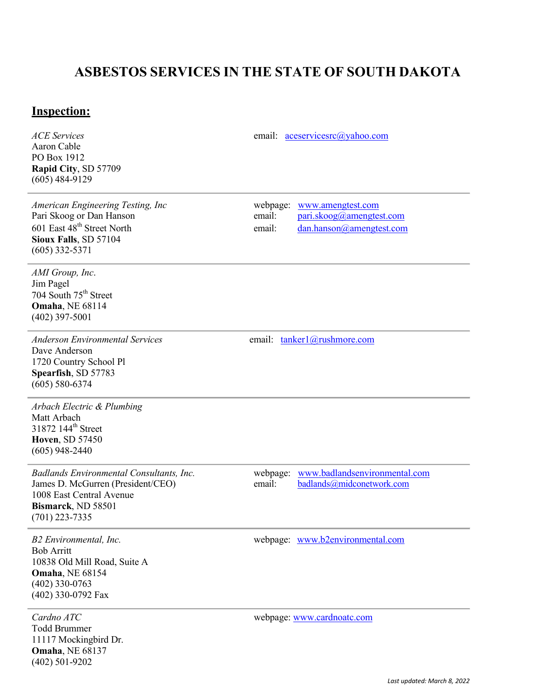## **ASBESTOS SERVICES IN THE STATE OF SOUTH DAKOTA**

## **Inspection:**

Aaron Cable PO Box 1912 **Rapid City**, SD 57709 (605) 484-9129

*American Engineering Testing, Inc*<br>
Pari Skoog or Dan Hanson<br>
Pari Skoog *Qamengtest.com*email:
Pari Skoog *Qamengtest.com*email:
Pari Skoog *Qamengtest.com*email:
Pari Skoog *Qamengtest.com*email:
Pari Skoog *Qam* **Sioux Falls**, SD 57104 (605) 332-5371

*ACE Services* email: [aceservicesrc@yahoo.com](mailto:aceservicesrc@yahoo.com)

email: [pari.skoog@amengtest.com](mailto:pari.skoog@amengtest.com) 601 East 48th Street North email: [dan.hanson@amengtest.com](mailto:dan.hanson@amengtest.com)

*AMI Group, Inc*. Jim Pagel 704 South 75<sup>th</sup> Street **Omaha**, NE 68114 (402) 397-5001

*Anderson Environmental Services* email: [tanker1@rushmore.com](mailto:tanker1@rushmore.com) Dave Anderson 1720 Country School Pl **Spearfish**, SD 57783 (605) 580-6374

*Arbach Electric & Plumbing* Matt Arbach 31872 144<sup>th</sup> Street **Hoven**, SD 57450 (605) 948-2440

James D. McGurren (President/CEO) email: 1008 East Central Avenue **Bismarck**, ND 58501 (701) 223-7335

*Badlands Environmental Consultants, Inc.* webpage: [www.badlandsenvironmental.com](http://www.badlandsenvironmental.com/)<br>
James D. McGurren (President/CEO) email: badlands@midconetwork.com

Bob Arritt 10838 Old Mill Road, Suite A **Omaha**, NE 68154 (402) 330-0763 (402) 330-0792 Fax

Todd Brummer 11117 Mockingbird Dr. **Omaha**, NE 68137 (402) 501-9202

*B2 Environmental, Inc.* webpage: [www.b2environmental.com](http://www.b2environmental.com/)

*Cardno ATC* webpage: [www.cardnoatc.com](http://www.cardnoatc.com/)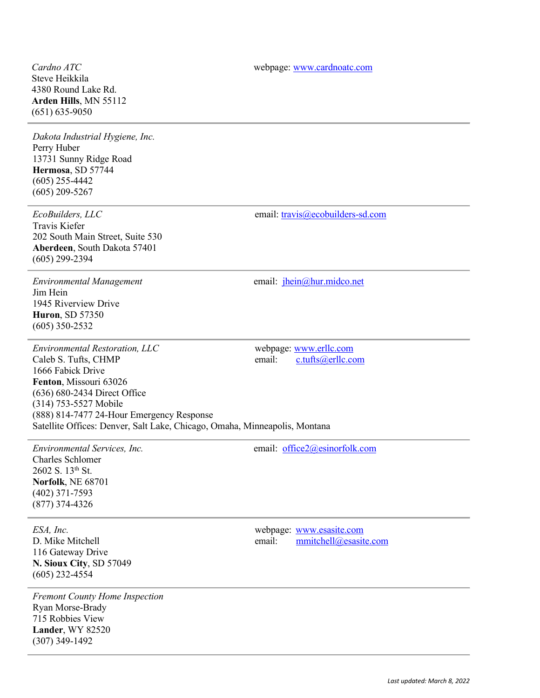Steve Heikkila 4380 Round Lake Rd. **Arden Hills**, MN 55112 (651) 635-9050

*Dakota Industrial Hygiene, Inc.* Perry Huber 13731 Sunny Ridge Road **Hermosa**, SD 57744 (605) 255-4442 (605) 209-5267

*EcoBuilders, LLC* email: [travis@ecobuilders-sd.com](mailto:travis@ecobuilders-sd.com) Travis Kiefer 202 South Main Street, Suite 530 **Aberdeen**, South Dakota 57401 (605) 299-2394

Jim Hein 1945 Riverview Drive **Huron**, SD 57350 (605) 350-2532

*Environmental Restoration, LLC* webpage: [www.erllc.com](http://www.erllc.com/)<br>
Caleb S. Tufts, CHMP email: c.tufts@erllc.com Caleb S. Tufts, CHMP email: 1666 Fabick Drive **Fenton**, Missouri 63026 (636) 680-2434 Direct Office (314) 753-5527 Mobile (888) 814-7477 24-Hour Emergency Response Satellite Offices: Denver, Salt Lake, Chicago, Omaha, Minneapolis, Montana

*Environmental Services, Inc.* email: [office2@esinorfolk.com](mailto:office2@esinorfolk.com) Charles Schlomer 2602 S. 13th St. **Norfolk**, NE 68701 (402) 371-7593 (877) 374-4326

116 Gateway Drive **N. Sioux City**, SD 57049 (605) 232-4554

*Fremont County Home Inspection* Ryan Morse-Brady 715 Robbies View **Lander**, WY 82520 (307) 349-1492

**Cardno** *ATC* webpage: [www.cardnoatc.com](http://www.cardnoatc.com/)

*Environmental Management* email: [jhein@hur.midco.net](mailto:jhein@hur.midco.net)

*ESA, Inc.* webpage: [www.esasite.com](http://www.esasite.com/) D. Mike Mitchell email: [mmitchell@esasite.com](mailto:mmitchell@esasite.com)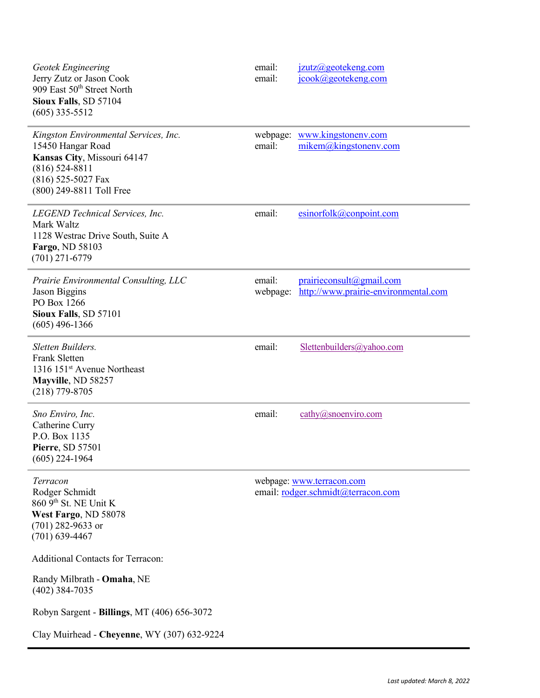| <b>Geotek Engineering</b><br>Jerry Zutz or Jason Cook<br>909 East 50 <sup>th</sup> Street North<br>Sioux Falls, SD 57104<br>$(605)$ 335-5512                    | email:<br>email:   | jzutz@geotekeng.com<br>jcook@geotekeng.com                       |
|-----------------------------------------------------------------------------------------------------------------------------------------------------------------|--------------------|------------------------------------------------------------------|
| Kingston Environmental Services, Inc.<br>15450 Hangar Road<br>Kansas City, Missouri 64147<br>$(816)$ 524-8811<br>(816) 525-5027 Fax<br>(800) 249-8811 Toll Free | webpage:<br>email: | www.kingstonenv.com<br>mikem@kingstonenv.com                     |
| LEGEND Technical Services, Inc.<br>Mark Waltz<br>1128 Westrac Drive South, Suite A<br>Fargo, ND 58103<br>$(701)$ 271-6779                                       | email:             | $e$ sinorfolk@conpoint.com                                       |
| Prairie Environmental Consulting, LLC<br>Jason Biggins<br>PO Box 1266<br>Sioux Falls, SD 57101<br>$(605)$ 496-1366                                              | email:<br>webpage: | prairieconsult@gmail.com<br>http://www.prairie-environmental.com |
| Sletten Builders.<br><b>Frank Sletten</b><br>1316 151 <sup>st</sup> Avenue Northeast<br>Mayville, ND 58257<br>$(218)$ 779-8705                                  | email:             | Slettenbuilders@yahoo.com                                        |
| Sno Enviro, Inc.<br>Catherine Curry<br>P.O. Box 1135<br>Pierre, SD 57501<br>$(605)$ 224-1964                                                                    | email:             | $\text{cathy}(a)$ snoenviro.com                                  |
| Terracon<br>Rodger Schmidt<br>860 9th St. NE Unit K<br>West Fargo, ND 58078<br>$(701)$ 282-9633 or<br>$(701)$ 639-4467                                          |                    | webpage: www.terracon.com<br>email: rodger.schmidt@terracon.com  |
| <b>Additional Contacts for Terracon:</b>                                                                                                                        |                    |                                                                  |
| Randy Milbrath - Omaha, NE<br>$(402)$ 384-7035                                                                                                                  |                    |                                                                  |
| Robyn Sargent - Billings, MT (406) 656-3072                                                                                                                     |                    |                                                                  |
| Clay Muirhead - Cheyenne, WY (307) 632-9224                                                                                                                     |                    |                                                                  |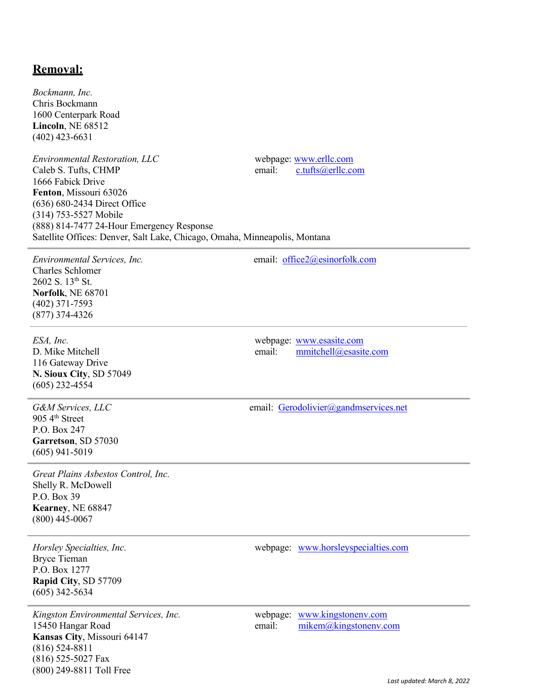## **Removal:**

*Bockmann, Inc.* Chris Bockmann 1600 Centerpark Road **Lincoln**, NE 68512 (402) 423-6631

*Environmental Restoration, LLC* webpage: [www.erllc.com](http://www.erllc.com/) Caleb S. Tufts, CHMP email: [c.tufts@erllc.com](mailto:c.tufts@erllc.com) 1666 Fabick Drive **Fenton**, Missouri 63026 (636) 680-2434 Direct Office (314) 753-5527 Mobile (888) 814-7477 24-Hour Emergency Response Satellite Offices: Denver, Salt Lake, Chicago, Omaha, Minneapolis, Montana

*Environmental Services, Inc.* email: [office2@esinorfolk.com](mailto:office2@esinorfolk.com) Charles Schlomer 2602 S. 13th St. **Norfolk**, NE 68701 (402) 371-7593 (877) 374-4326

116 Gateway Drive **N. Sioux City**, SD 57049 (605) 232-4554

905 4th Street P.O. Box 247 **Garretson**, SD 57030 (605) 941-5019

*Great Plains Asbestos Control, Inc.* Shelly R. McDowell P.O. Box 39 **Kearney**, NE 68847 (800) 445-0067

Bryce Tieman P.O. Box 1277 **Rapid City**, SD 57709 (605) 342-5634

*Kingston Environmental Services, Inc.* webpage: [www.kingstonenv.com](http://www.kingstonenv.com/) 15450 Hangar Road email: [mikem@kingstonenv.com](mailto:mikem@kingstonenv.com) **Kansas City**, Missouri 64147 (816) 524-8811 (816) 525-5027 Fax (800) 249-8811 Toll Free

*ESA, Inc.* webpage: [www.esasite.com](http://www.esasite.com/) D. Mike Mitchell email: [mmitchell@esasite.com](mailto:mmitchell@esasite.com)

G&M Services, LLC email: [Gerodolivier@gandmservices.net](mailto:Gerodolivier@gandmservices.net)

*Horsley Specialties, Inc.* webpage: [www.horsleyspecialties.com](http://www.horsleyspecialties.com/)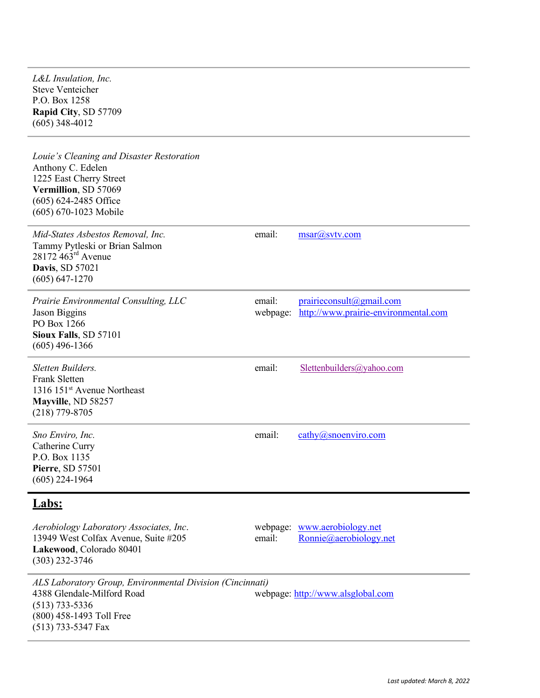*L&L Insulation, Inc.* Steve Venteicher P.O. Box 1258 **Rapid City**, SD 57709 (605) 348-4012

*Louie's Cleaning and Disaster Restoration* Anthony C. Edelen 1225 East Cherry Street **Vermillion**, SD 57069 (605) 624-2485 Office (605) 670-1023 Mobile *Mid-States Asbestos Removal, Inc.* email: [msar@svtv.com](mailto:msar@svtv.com) Tammy Pytleski or Brian Salmon 28172 463<sup>rd</sup> Avenue **Davis**, SD 57021 (605) 647-1270 *Prairie Environmental Consulting, LLC* email: [prairieconsult@gmail.com](mailto:prairieconsult@gmail.com) Jason Biggins webpage: [http://www.prairie-environmental.com](http://www.prairie-environmental.com/) PO Box 1266 **Sioux Falls**, SD 57101 (605) 496-1366 *Sletten Builders.* email: [Slettenbuilders@yahoo.com](mailto:Slettenbuilders@yahoo.com) Frank Sletten 1316 151st Avenue Northeast **Mayville**, ND 58257 (218) 779-8705 *Sno Enviro, Inc.* email: [cathy@snoenviro.com](mailto:cathy@snoenviro.com) Catherine Curry P.O. Box 1135 **Pierre**, SD 57501 (605) 224-1964 **Labs:** *Aerobiology Laboratory Associates, Inc*. webpage: [www.aerobiology.net](http://www.aerobiology.net/) 13949 West Colfax Avenue, Suite #205 email: [Ronnie@aerobiology.net](mailto:Ronnie@aerobiology.net) **Lakewood**, Colorado 80401 (303) 232-3746

*ALS Laboratory Group, Environmental Division (Cincinnati)* 4388 Glendale-Milford Road webpage: [http://www.alsglobal.com](http://www.alsglobal.com/) (513) 733-5336 (800) 458-1493 Toll Free (513) 733-5347 Fax